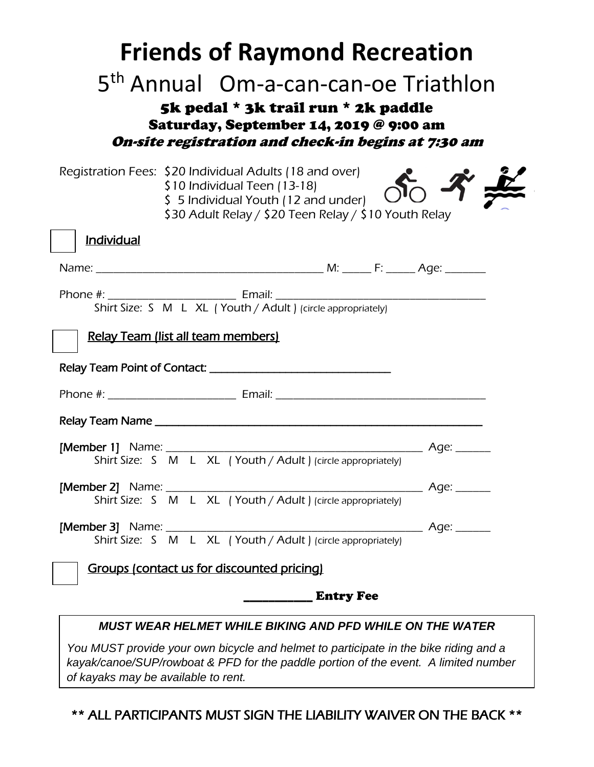| <b>Friends of Raymond Recreation</b><br>5 <sup>th</sup> Annual Om-a-can-can-oe Triathlon<br>5k pedal * 3k trail run * 2k paddle<br>Saturday, September 14, 2019 @ 9:00 am<br>On-site registration and check-in begins at 7:30 am |  |  |
|----------------------------------------------------------------------------------------------------------------------------------------------------------------------------------------------------------------------------------|--|--|
| Registration Fees: \$20 Individual Adults (18 and over)<br>\$10 Individual Teen (13-18)<br>\$ 5 Individual Youth (12 and under)<br>\$30 Adult Relay / \$20 Teen Relay / \$10 Youth Relay                                         |  |  |
| <b>Individual</b>                                                                                                                                                                                                                |  |  |
|                                                                                                                                                                                                                                  |  |  |
|                                                                                                                                                                                                                                  |  |  |
| Relay Team (list all team members)                                                                                                                                                                                               |  |  |
|                                                                                                                                                                                                                                  |  |  |
|                                                                                                                                                                                                                                  |  |  |
|                                                                                                                                                                                                                                  |  |  |
| Shirt Size: S M L XL (Youth / Adult ) (circle appropriately)                                                                                                                                                                     |  |  |
| Shirt Size: S M L XL (Youth / Adult ) (circle appropriately)                                                                                                                                                                     |  |  |
|                                                                                                                                                                                                                                  |  |  |
| Groups (contact us for discounted pricing)                                                                                                                                                                                       |  |  |
| <b>Entry Fee</b>                                                                                                                                                                                                                 |  |  |
| <b>MUST WEAR HELMET WHILE BIKING AND PFD WHILE ON THE WATER</b>                                                                                                                                                                  |  |  |

*You MUST provide your own bicycle and helmet to participate in the bike riding and a kayak/canoe/SUP/rowboat & PFD for the paddle portion of the event. A limited number of kayaks may be available to rent.*

\*\* ALL PARTICIPANTS MUST SIGN THE LIABILITY WAIVER ON THE BACK \*\*